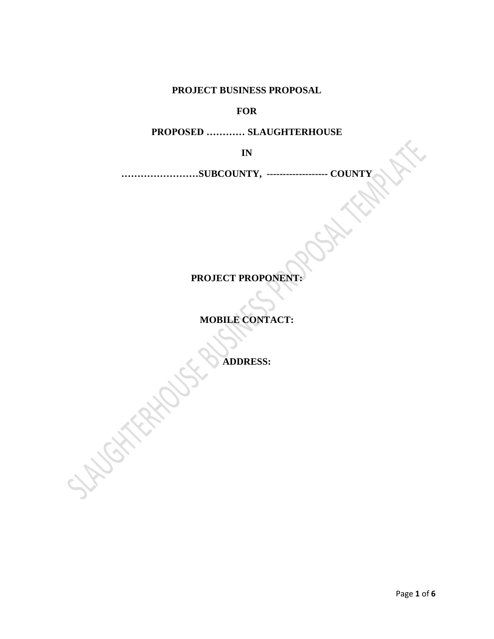**PROJECT BUSINESS PROPOSAL**

**FOR**

**PROPOSED ………… SLAUGHTERHOUSE**

**IN**

**……………………SUBCOUNTY, ------------------- COUNTY**

# **PROJECT PROPONENT:**

**MOBILE CONTACT:**

**ADDRESS:**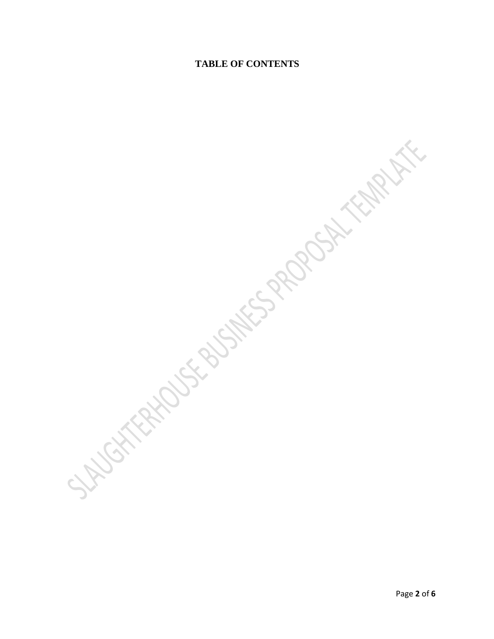### **TABLE OF CONTENTS**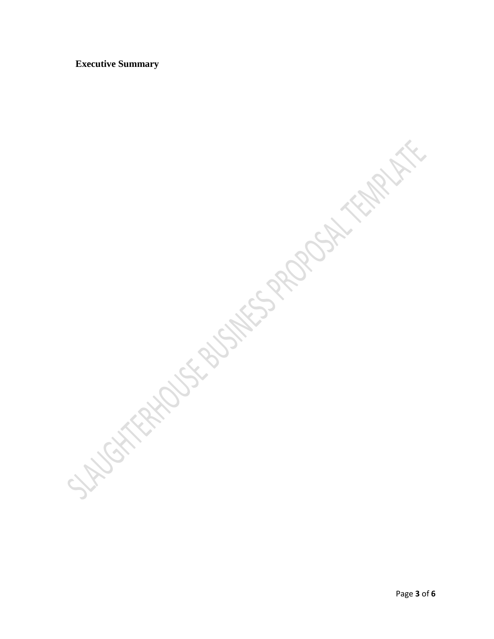#### **Executive Summary**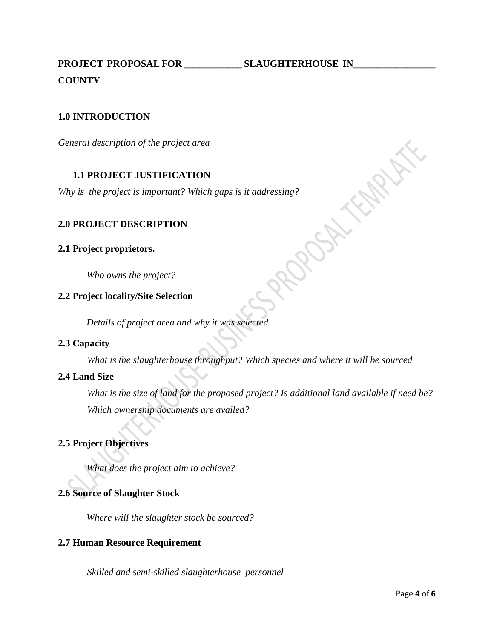**PROJECT PROPOSAL FOR \_\_\_\_\_\_\_\_\_\_\_\_ SLAUGHTERHOUSE IN\_\_\_\_\_\_\_\_\_\_\_\_\_\_\_\_\_ COUNTY**

### **1.0 INTRODUCTION**

*General description of the project area*

### **1.1 PROJECT JUSTIFICATION**

*Why is the project is important? Which gaps is it addressing?*<br> **2.0 PROJECT DESCRIPTION**<br> **2.1 Project proprietors.**<br> *Who owns the project*.<br>
2.2 P-

#### **2.0 PROJECT DESCRIPTION**

#### **2.1 Project proprietors.**

*Who owns the project?*

#### **2.2 Project locality/Site Selection**

*Details of project area and why it was selected*

### **2.3 Capacity**

*What is the slaughterhouse throughput? Which species and where it will be sourced*

#### **2.4 Land Size**

*What is the size of land for the proposed project? Is additional land available if need be? Which ownership documents are availed?*

ROSK

## **2.5 Project Objectives**

*What does the project aim to achieve?*

### **2.6 Source of Slaughter Stock**

*Where will the slaughter stock be sourced?*

#### **2.7 Human Resource Requirement**

*Skilled and semi-skilled slaughterhouse personnel*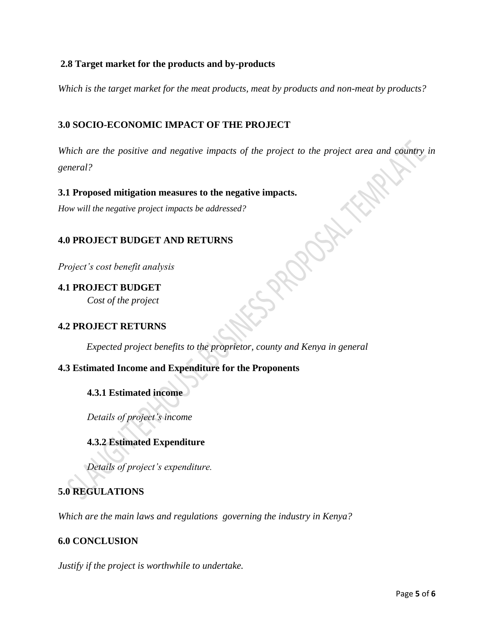## **2.8 Target market for the products and by-products**

*Which is the target market for the meat products, meat by products and non-meat by products?*

# **3.0 SOCIO-ECONOMIC IMPACT OF THE PROJECT**

*Which are the positive and negative impacts of the project to the project area and country in general?*

## **3.1 Proposed mitigation measures to the negative impacts.**

*How will the negative project impacts be addressed?*

## **4.0 PROJECT BUDGET AND RETURNS**

*Project's cost benefit analysis*

**4.1 PROJECT BUDGET** *Cost of the project*

## **4.2 PROJECT RETURNS**

*Expected project benefits to the proprietor, county and Kenya in general*

## **4.3 Estimated Income and Expenditure for the Proponents**

## **4.3.1 Estimated income**

*Details of project's income*

## **4.3.2 Estimated Expenditure**

*Details of project's expenditure.*

# **5.0 REGULATIONS**

*Which are the main laws and regulations governing the industry in Kenya?*

## **6.0 CONCLUSION**

*Justify if the project is worthwhile to undertake.*